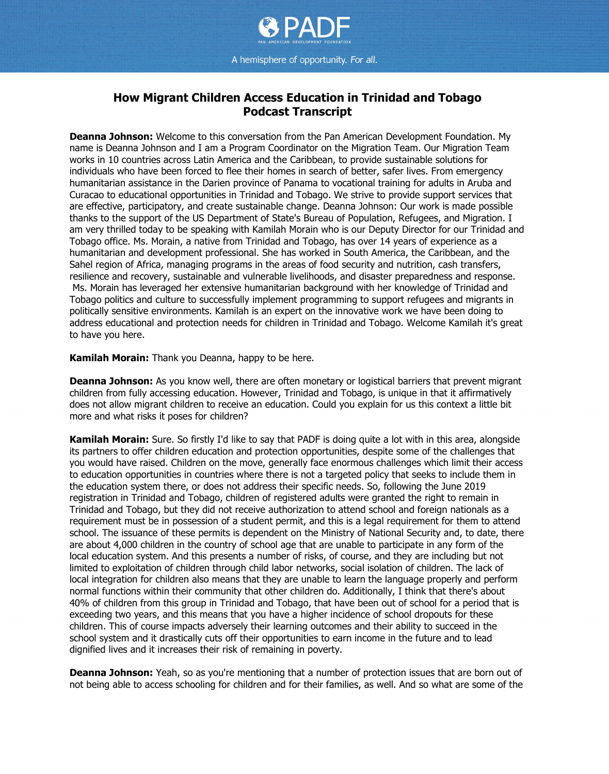

## **How Migrant Children Access Education in Trinidad and Tobago Podcast Transcript**

**Deanna Johnson:** Welcome to this conversation from the Pan American Development Foundation. My name is Deanna Johnson and I am a Program Coordinator on the Migration Team. Our Migration Team works in 10 countries across Latin America and the Caribbean, to provide sustainable solutions for individuals who have been forced to flee their homes in search of better, safer lives. From emergency humanitarian assistance in the Darien province of Panama to vocational training for adults in Aruba and Curacao to educational opportunities in Trinidad and Tobago. We strive to provide support services that are effective, participatory, and create sustainable change. Deanna Johnson: Our work is made possible thanks to the support of the US Department of State's Bureau of Population, Refugees, and Migration. I am very thrilled today to be speaking with Kamilah Morain who is our Deputy Director for our Trinidad and Tobago office. Ms. Morain, a native from Trinidad and Tobago, has over 14 years of experience as a humanitarian and development professional. She has worked in South America, the Caribbean, and the Sahel region of Africa, managing programs in the areas of food security and nutrition, cash transfers, resilience and recovery, sustainable and vulnerable livelihoods, and disaster preparedness and response. Ms. Morain has leveraged her extensive humanitarian background with her knowledge of Trinidad and Tobago politics and culture to successfully implement programming to support refugees and migrants in politically sensitive environments. Kamilah is an expert on the innovative work we have been doing to address educational and protection needs for children in Trinidad and Tobago. Welcome Kamilah it's great to have you here.

**Kamilah Morain:** Thank you Deanna, happy to be here.

**Deanna Johnson:** As you know well, there are often monetary or logistical barriers that prevent migrant children from fully accessing education. However, Trinidad and Tobago, is unique in that it affirmatively does not allow migrant children to receive an education. Could you explain for us this context a little bit more and what risks it poses for children?

**Kamilah Morain:** Sure. So firstly I'd like to say that PADF is doing quite a lot with in this area, alongside its partners to offer children education and protection opportunities, despite some of the challenges that you would have raised. Children on the move, generally face enormous challenges which limit their access to education opportunities in countries where there is not a targeted policy that seeks to include them in the education system there, or does not address their specific needs. So, following the June 2019 registration in Trinidad and Tobago, children of registered adults were granted the right to remain in Trinidad and Tobago, but they did not receive authorization to attend school and foreign nationals as a requirement must be in possession of a student permit, and this is a legal requirement for them to attend school. The issuance of these permits is dependent on the Ministry of National Security and, to date, there are about 4,000 children in the country of school age that are unable to participate in any form of the local education system. And this presents a number of risks, of course, and they are including but not limited to exploitation of children through child labor networks, social isolation of children. The lack of local integration for children also means that they are unable to learn the language properly and perform normal functions within their community that other children do. Additionally, I think that there's about 40% of children from this group in Trinidad and Tobago, that have been out of school for a period that is exceeding two years, and this means that you have a higher incidence of school dropouts for these children. This of course impacts adversely their learning outcomes and their ability to succeed in the school system and it drastically cuts off their opportunities to earn income in the future and to lead dignified lives and it increases their risk of remaining in poverty.

**Deanna Johnson:** Yeah, so as you're mentioning that a number of protection issues that are born out of not being able to access schooling for children and for their families, as well. And so what are some of the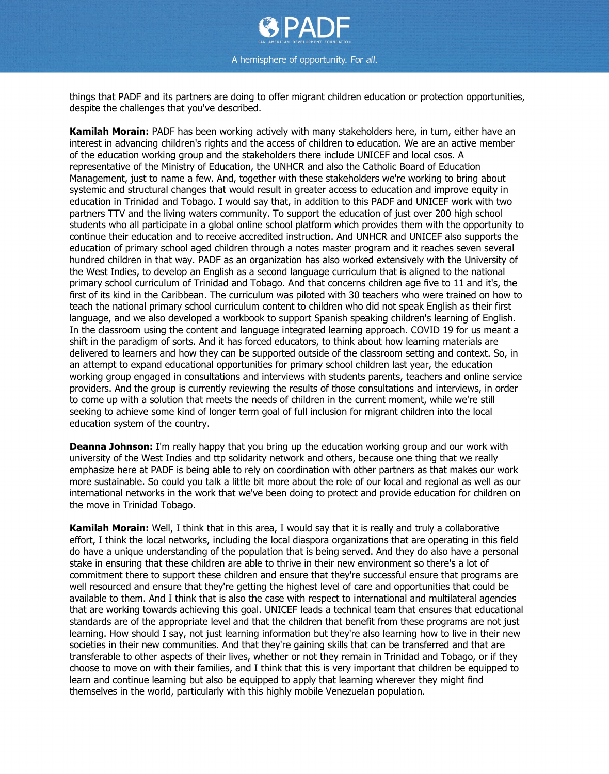

things that PADF and its partners are doing to offer migrant children education or protection opportunities, despite the challenges that you've described.

**Kamilah Morain:** PADF has been working actively with many stakeholders here, in turn, either have an interest in advancing children's rights and the access of children to education. We are an active member of the education working group and the stakeholders there include UNICEF and local csos. A representative of the Ministry of Education, the UNHCR and also the Catholic Board of Education Management, just to name a few. And, together with these stakeholders we're working to bring about systemic and structural changes that would result in greater access to education and improve equity in education in Trinidad and Tobago. I would say that, in addition to this PADF and UNICEF work with two partners TTV and the living waters community. To support the education of just over 200 high school students who all participate in a global online school platform which provides them with the opportunity to continue their education and to receive accredited instruction. And UNHCR and UNICEF also supports the education of primary school aged children through a notes master program and it reaches seven several hundred children in that way. PADF as an organization has also worked extensively with the University of the West Indies, to develop an English as a second language curriculum that is aligned to the national primary school curriculum of Trinidad and Tobago. And that concerns children age five to 11 and it's, the first of its kind in the Caribbean. The curriculum was piloted with 30 teachers who were trained on how to teach the national primary school curriculum content to children who did not speak English as their first language, and we also developed a workbook to support Spanish speaking children's learning of English. In the classroom using the content and language integrated learning approach. COVID 19 for us meant a shift in the paradigm of sorts. And it has forced educators, to think about how learning materials are delivered to learners and how they can be supported outside of the classroom setting and context. So, in an attempt to expand educational opportunities for primary school children last year, the education working group engaged in consultations and interviews with students parents, teachers and online service providers. And the group is currently reviewing the results of those consultations and interviews, in order to come up with a solution that meets the needs of children in the current moment, while we're still seeking to achieve some kind of longer term goal of full inclusion for migrant children into the local education system of the country.

**Deanna Johnson:** I'm really happy that you bring up the education working group and our work with university of the West Indies and ttp solidarity network and others, because one thing that we really emphasize here at PADF is being able to rely on coordination with other partners as that makes our work more sustainable. So could you talk a little bit more about the role of our local and regional as well as our international networks in the work that we've been doing to protect and provide education for children on the move in Trinidad Tobago.

**Kamilah Morain:** Well, I think that in this area, I would say that it is really and truly a collaborative effort, I think the local networks, including the local diaspora organizations that are operating in this field do have a unique understanding of the population that is being served. And they do also have a personal stake in ensuring that these children are able to thrive in their new environment so there's a lot of commitment there to support these children and ensure that they're successful ensure that programs are well resourced and ensure that they're getting the highest level of care and opportunities that could be available to them. And I think that is also the case with respect to international and multilateral agencies that are working towards achieving this goal. UNICEF leads a technical team that ensures that educational standards are of the appropriate level and that the children that benefit from these programs are not just learning. How should I say, not just learning information but they're also learning how to live in their new societies in their new communities. And that they're gaining skills that can be transferred and that are transferable to other aspects of their lives, whether or not they remain in Trinidad and Tobago, or if they choose to move on with their families, and I think that this is very important that children be equipped to learn and continue learning but also be equipped to apply that learning wherever they might find themselves in the world, particularly with this highly mobile Venezuelan population.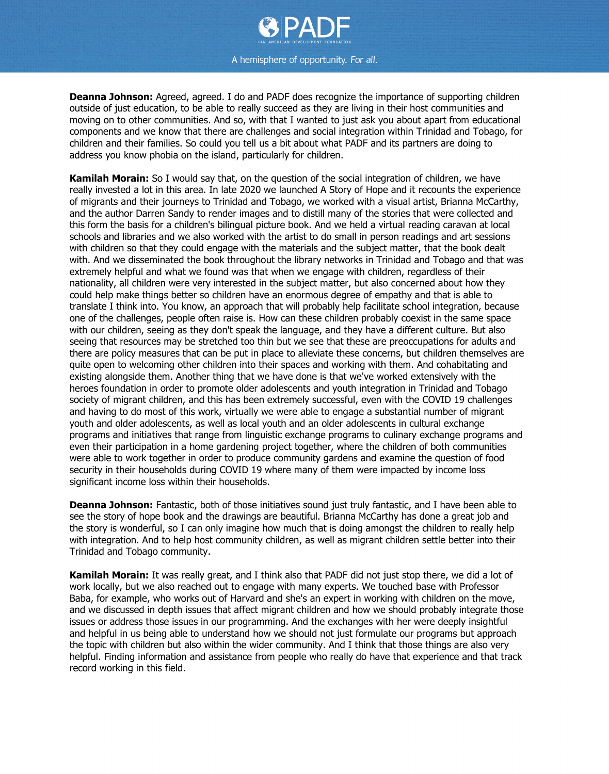

**Deanna Johnson:** Agreed, agreed. I do and PADF does recognize the importance of supporting children outside of just education, to be able to really succeed as they are living in their host communities and moving on to other communities. And so, with that I wanted to just ask you about apart from educational components and we know that there are challenges and social integration within Trinidad and Tobago, for children and their families. So could you tell us a bit about what PADF and its partners are doing to address you know phobia on the island, particularly for children.

**Kamilah Morain:** So I would say that, on the question of the social integration of children, we have really invested a lot in this area. In late 2020 we launched A Story of Hope and it recounts the experience of migrants and their journeys to Trinidad and Tobago, we worked with a visual artist, Brianna McCarthy, and the author Darren Sandy to render images and to distill many of the stories that were collected and this form the basis for a children's bilingual picture book. And we held a virtual reading caravan at local schools and libraries and we also worked with the artist to do small in person readings and art sessions with children so that they could engage with the materials and the subject matter, that the book dealt with. And we disseminated the book throughout the library networks in Trinidad and Tobago and that was extremely helpful and what we found was that when we engage with children, regardless of their nationality, all children were very interested in the subject matter, but also concerned about how they could help make things better so children have an enormous degree of empathy and that is able to translate I think into. You know, an approach that will probably help facilitate school integration, because one of the challenges, people often raise is. How can these children probably coexist in the same space with our children, seeing as they don't speak the language, and they have a different culture. But also seeing that resources may be stretched too thin but we see that these are preoccupations for adults and there are policy measures that can be put in place to alleviate these concerns, but children themselves are quite open to welcoming other children into their spaces and working with them. And cohabitating and existing alongside them. Another thing that we have done is that we've worked extensively with the heroes foundation in order to promote older adolescents and youth integration in Trinidad and Tobago society of migrant children, and this has been extremely successful, even with the COVID 19 challenges and having to do most of this work, virtually we were able to engage a substantial number of migrant youth and older adolescents, as well as local youth and an older adolescents in cultural exchange programs and initiatives that range from linguistic exchange programs to culinary exchange programs and even their participation in a home gardening project together, where the children of both communities were able to work together in order to produce community gardens and examine the question of food security in their households during COVID 19 where many of them were impacted by income loss significant income loss within their households.

**Deanna Johnson:** Fantastic, both of those initiatives sound just truly fantastic, and I have been able to see the story of hope book and the drawings are beautiful. Brianna McCarthy has done a great job and the story is wonderful, so I can only imagine how much that is doing amongst the children to really help with integration. And to help host community children, as well as migrant children settle better into their Trinidad and Tobago community.

**Kamilah Morain:** It was really great, and I think also that PADF did not just stop there, we did a lot of work locally, but we also reached out to engage with many experts. We touched base with Professor Baba, for example, who works out of Harvard and she's an expert in working with children on the move, and we discussed in depth issues that affect migrant children and how we should probably integrate those issues or address those issues in our programming. And the exchanges with her were deeply insightful and helpful in us being able to understand how we should not just formulate our programs but approach the topic with children but also within the wider community. And I think that those things are also very helpful. Finding information and assistance from people who really do have that experience and that track record working in this field.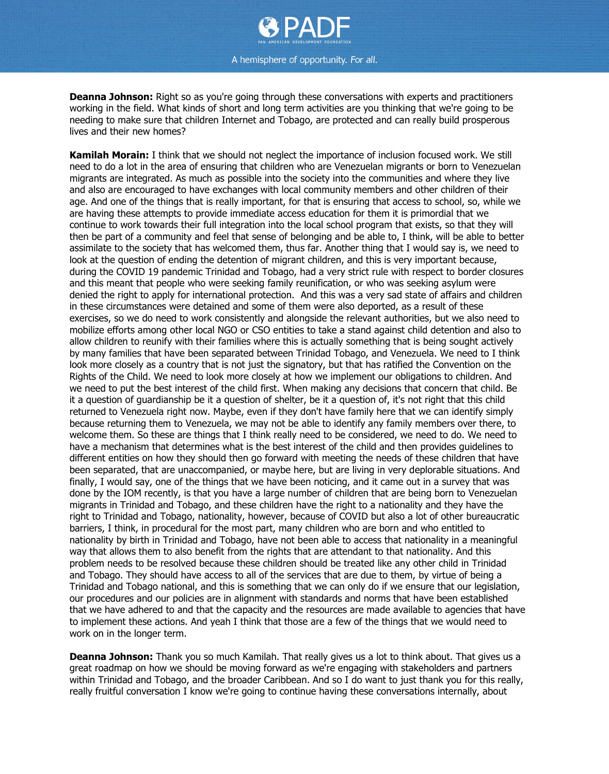

**Deanna Johnson:** Right so as you're going through these conversations with experts and practitioners working in the field. What kinds of short and long term activities are you thinking that we're going to be needing to make sure that children Internet and Tobago, are protected and can really build prosperous lives and their new homes?

**Kamilah Morain:** I think that we should not neglect the importance of inclusion focused work. We still need to do a lot in the area of ensuring that children who are Venezuelan migrants or born to Venezuelan migrants are integrated. As much as possible into the society into the communities and where they live and also are encouraged to have exchanges with local community members and other children of their age. And one of the things that is really important, for that is ensuring that access to school, so, while we are having these attempts to provide immediate access education for them it is primordial that we continue to work towards their full integration into the local school program that exists, so that they will then be part of a community and feel that sense of belonging and be able to, I think, will be able to better assimilate to the society that has welcomed them, thus far. Another thing that I would say is, we need to look at the question of ending the detention of migrant children, and this is very important because, during the COVID 19 pandemic Trinidad and Tobago, had a very strict rule with respect to border closures and this meant that people who were seeking family reunification, or who was seeking asylum were denied the right to apply for international protection. And this was a very sad state of affairs and children in these circumstances were detained and some of them were also deported, as a result of these exercises, so we do need to work consistently and alongside the relevant authorities, but we also need to mobilize efforts among other local NGO or CSO entities to take a stand against child detention and also to allow children to reunify with their families where this is actually something that is being sought actively by many families that have been separated between Trinidad Tobago, and Venezuela. We need to I think look more closely as a country that is not just the signatory, but that has ratified the Convention on the Rights of the Child. We need to look more closely at how we implement our obligations to children. And we need to put the best interest of the child first. When making any decisions that concern that child. Be it a question of guardianship be it a question of shelter, be it a question of, it's not right that this child returned to Venezuela right now. Maybe, even if they don't have family here that we can identify simply because returning them to Venezuela, we may not be able to identify any family members over there, to welcome them. So these are things that I think really need to be considered, we need to do. We need to have a mechanism that determines what is the best interest of the child and then provides guidelines to different entities on how they should then go forward with meeting the needs of these children that have been separated, that are unaccompanied, or maybe here, but are living in very deplorable situations. And finally, I would say, one of the things that we have been noticing, and it came out in a survey that was done by the IOM recently, is that you have a large number of children that are being born to Venezuelan migrants in Trinidad and Tobago, and these children have the right to a nationality and they have the right to Trinidad and Tobago, nationality, however, because of COVID but also a lot of other bureaucratic barriers, I think, in procedural for the most part, many children who are born and who entitled to nationality by birth in Trinidad and Tobago, have not been able to access that nationality in a meaningful way that allows them to also benefit from the rights that are attendant to that nationality. And this problem needs to be resolved because these children should be treated like any other child in Trinidad and Tobago. They should have access to all of the services that are due to them, by virtue of being a Trinidad and Tobago national, and this is something that we can only do if we ensure that our legislation, our procedures and our policies are in alignment with standards and norms that have been established that we have adhered to and that the capacity and the resources are made available to agencies that have to implement these actions. And yeah I think that those are a few of the things that we would need to work on in the longer term.

**Deanna Johnson:** Thank you so much Kamilah. That really gives us a lot to think about. That gives us a great roadmap on how we should be moving forward as we're engaging with stakeholders and partners within Trinidad and Tobago, and the broader Caribbean. And so I do want to just thank you for this really, really fruitful conversation I know we're going to continue having these conversations internally, about